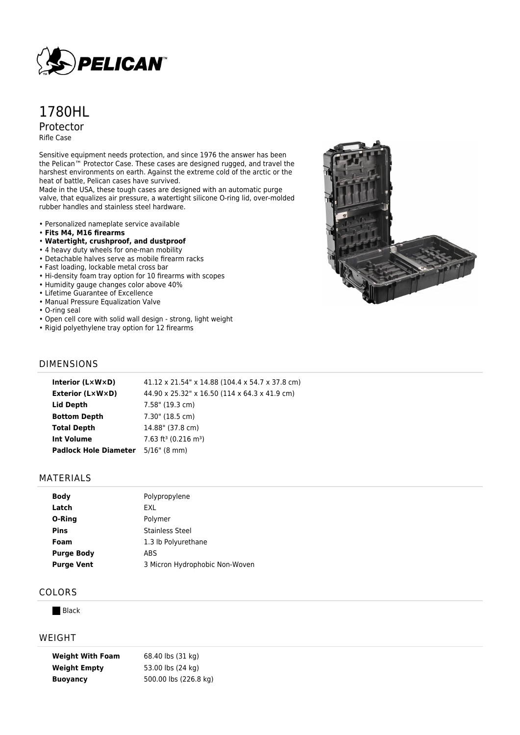

# 1780HL Protector Rifle Case

Sensitive equipment needs protection, and since 1976 the answer has been the Pelican™ Protector Case. These cases are designed rugged, and travel the harshest environments on earth. Against the extreme cold of the arctic or the heat of battle, Pelican cases have survived.

Made in the USA, these tough cases are designed with an automatic purge valve, that equalizes air pressure, a watertight silicone O-ring lid, over-molded rubber handles and stainless steel hardware.

- Personalized nameplate service available
- **Fits M4, M16 firearms**
- **Watertight, crushproof, and dustproof**
- 4 heavy duty wheels for one-man mobility
- Detachable halves serve as mobile firearm racks
- Fast loading, lockable metal cross bar
- Hi-density foam tray option for 10 firearms with scopes
- Humidity gauge changes color above 40%
- Lifetime Guarantee of Excellence
- Manual Pressure Equalization Valve
- O-ring seal
- Open cell core with solid wall design strong, light weight
- Rigid polyethylene tray option for 12 firearms



#### DIMENSIONS

| Interior (LxWxD)             | 41.12 x 21.54" x 14.88 (104.4 x 54.7 x 37.8 cm) |
|------------------------------|-------------------------------------------------|
| <b>Exterior (L×W×D)</b>      | 44.90 x 25.32" x 16.50 (114 x 64.3 x 41.9 cm)   |
| Lid Depth                    | 7.58" (19.3 cm)                                 |
| <b>Bottom Depth</b>          | 7.30" (18.5 cm)                                 |
| <b>Total Depth</b>           | 14.88" (37.8 cm)                                |
| <b>Int Volume</b>            | $7.63$ ft <sup>3</sup> (0.216 m <sup>3</sup> )  |
| <b>Padlock Hole Diameter</b> | $5/16$ " (8 mm)                                 |
|                              |                                                 |

#### MATERIALS

| <b>Body</b>       | Polypropylene                  |
|-------------------|--------------------------------|
| Latch             | EXL                            |
| O-Ring            | Polymer                        |
| <b>Pins</b>       | Stainless Steel                |
| Foam              | 1.3 lb Polyurethane            |
| <b>Purge Body</b> | ABS                            |
| <b>Purge Vent</b> | 3 Micron Hydrophobic Non-Woven |
|                   |                                |

## COLORS

**Black** 

#### WEIGHT

| <b>Weight With Foam</b> | 68.40 lbs (31 kg)     |
|-------------------------|-----------------------|
| <b>Weight Empty</b>     | 53.00 lbs (24 kg)     |
| <b>Buoyancy</b>         | 500.00 lbs (226.8 kg) |